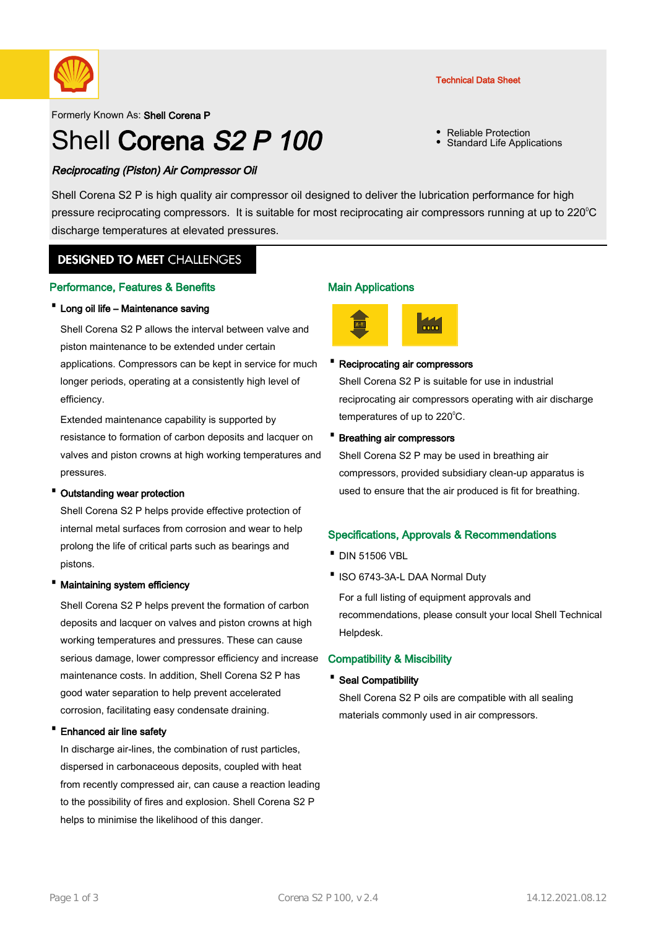

### Technical Data Sheet

• Reliable Protection

• Standard Life Applications

Formerly Known As: Shell Corena P

# Shell Corena S<sub>2</sub> P 100

# Reciprocating (Piston) Air Compressor Oil

Shell Corena S2 P is high quality air compressor oil designed to deliver the lubrication performance for high pressure reciprocating compressors. It is suitable for most reciprocating air compressors running at up to 220°C discharge temperatures at elevated pressures.

# **DESIGNED TO MEET CHALLENGES**

## Performance, Features & Benefits

## · Long oil life – Maintenance saving

Shell Corena S2 P allows the interval between valve and piston maintenance to be extended under certain piston maintenance to be extended under certain<br>applications. Compressors can be kept in service for much • Re<mark>ciprocating air compressors</mark> longer periods, operating at a consistently high level of efficiency.

Extended maintenance capability is supported by resistance to formation of carbon deposits and lacquer on valves and piston crowns at high working temperatures and pressures.

### · Outstanding wear protection

Shell Corena S2 P helps provide effective protection of internal metal surfaces from corrosion and wear to help prolong the life of critical parts such as bearings and pistons.

### Maintaining system efficiency

Shell Corena S2 P helps prevent the formation of carbon deposits and lacquer on valves and piston crowns at high working temperatures and pressures. These can cause serious damage, lower compressor efficiency and increase maintenance costs. In addition, Shell Corena S2 P has good water separation to help prevent accelerated corrosion, facilitating easy condensate draining.

### Enhanced air line safety

In discharge air-lines, the combination of rust particles, dispersed in carbonaceous deposits, coupled with heat from recently compressed air, can cause a reaction leading to the possibility of fires and explosion. Shell Corena S2 P helps to minimise the likelihood of this danger.

### Main Applications



Shell Corena S2 P is suitable for use in industrial reciprocating air compressors operating with air discharge temperatures of up to  $220^{\circ}$ C.

### · Breathing air compressors

Shell Corena S2 P may be used in breathing air compressors, provided subsidiary clean-up apparatus is used to ensure that the air produced is fit for breathing.

# Specifications, Approvals & Recommendations

- · DIN 51506 VBL
- ·ISO 6743-3A-L DAA Normal Duty

For a full listing of equipment approvals and recommendations, please consult your local Shell Technical Helpdesk.

# Compatibility & Miscibility

· Seal Compatibility

Shell Corena S2 P oils are compatible with all sealing materials commonly used in air compressors.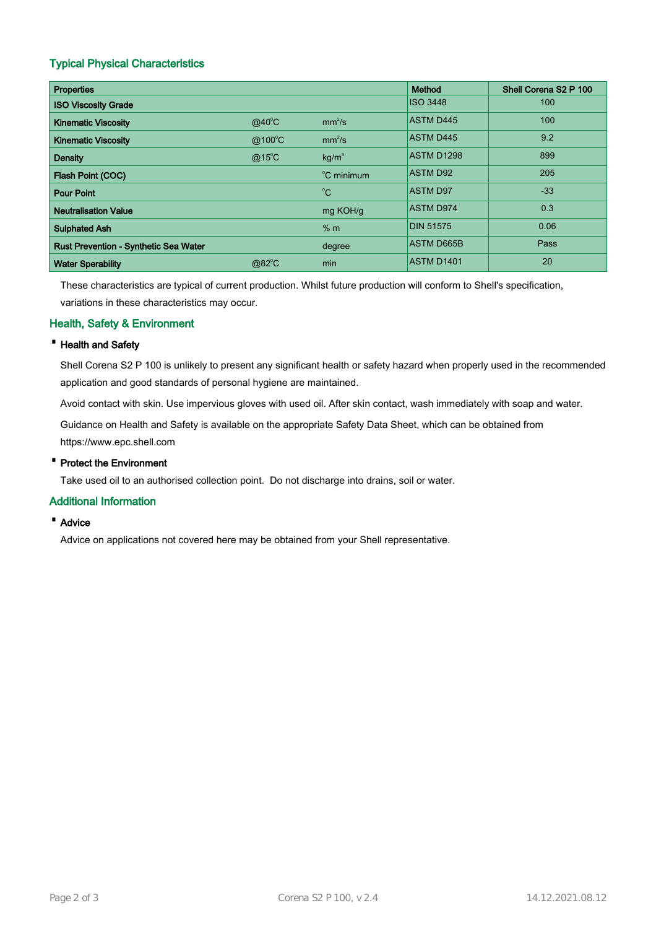# Typical Physical Characteristics

| <b>Properties</b>                            |                 |                        | Method            | Shell Corena S2 P 100 |
|----------------------------------------------|-----------------|------------------------|-------------------|-----------------------|
| <b>ISO Viscosity Grade</b>                   |                 |                        | <b>ISO 3448</b>   | 100                   |
| <b>Kinematic Viscosity</b>                   | $@40^{\circ}$ C | mm <sup>2</sup> /s     | <b>ASTM D445</b>  | 100                   |
| <b>Kinematic Viscosity</b>                   | @100°C          | mm <sup>2</sup> /s     | <b>ASTM D445</b>  | 9.2                   |
| <b>Density</b>                               | $@15^{\circ}$ C | kg/m <sup>3</sup>      | <b>ASTM D1298</b> | 899                   |
| Flash Point (COC)                            |                 | <sup>°</sup> C minimum | <b>ASTM D92</b>   | 205                   |
| <b>Pour Point</b>                            |                 | $^0C$                  | <b>ASTM D97</b>   | $-33$                 |
| <b>Neutralisation Value</b>                  |                 | mg KOH/g               | <b>ASTM D974</b>  | 0.3                   |
| <b>Sulphated Ash</b>                         |                 | % m                    | <b>DIN 51575</b>  | 0.06                  |
| <b>Rust Prevention - Synthetic Sea Water</b> |                 | degree                 | <b>ASTM D665B</b> | Pass                  |
| <b>Water Sperability</b>                     | $@82^{\circ}C$  | min                    | <b>ASTM D1401</b> | 20                    |

These characteristics are typical of current production. Whilst future production will conform to Shell's specification, variations in these characteristics may occur.

# Health, Safety & Environment

# · Health and Safety

Shell Corena S2 P 100 is unlikely to present any significant health or safety hazard when properly used in the recommended application and good standards of personal hygiene are maintained.

Avoid contact with skin. Use impervious gloves with used oil. After skin contact, wash immediately with soap and water.

Guidance on Health and Safety is available on the appropriate Safety Data Sheet, which can be obtained from https://www.epc.shell.com

# · Protect the Environment

Take used oil to an authorised collection point. Do not discharge into drains, soil or water.

# Additional Information

# · Advice

Advice on applications not covered here may be obtained from your Shell representative.